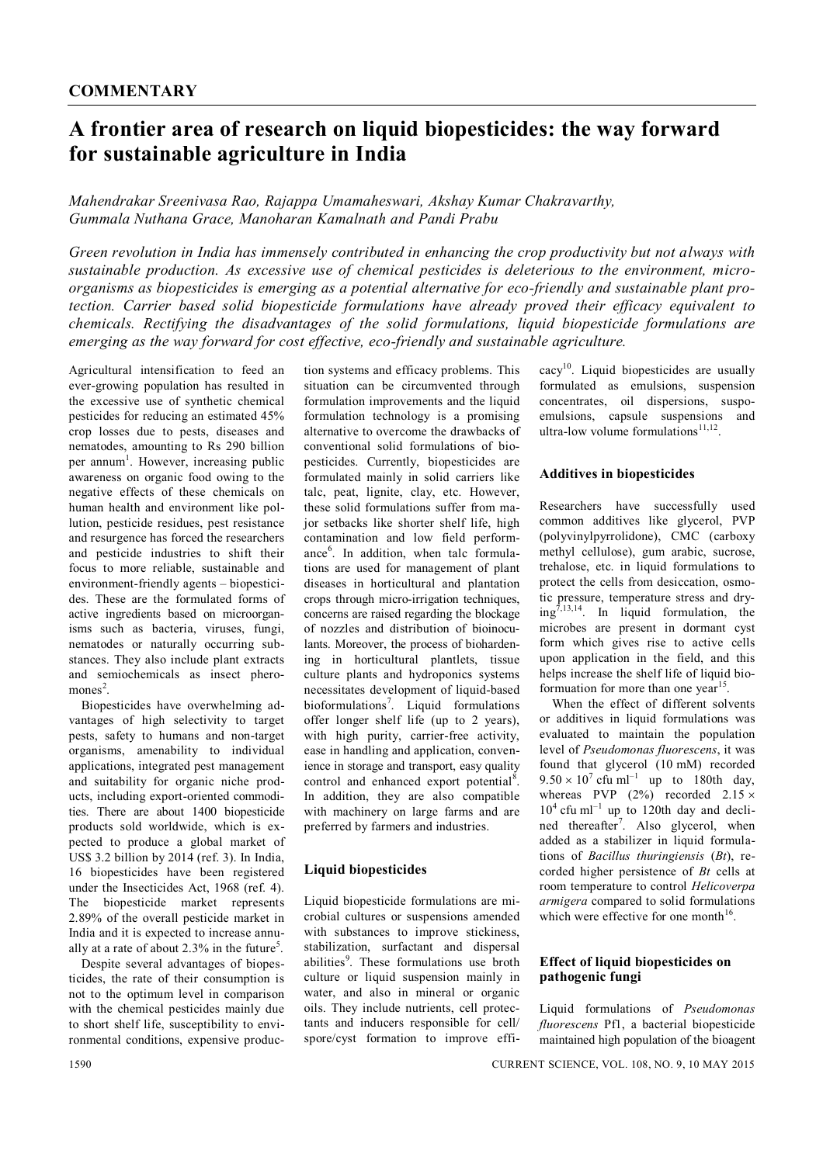# **A frontier area of research on liquid biopesticides: the way forward for sustainable agriculture in India**

*Mahendrakar Sreenivasa Rao, Rajappa Umamaheswari, Akshay Kumar Chakravarthy, Gummala Nuthana Grace, Manoharan Kamalnath and Pandi Prabu*

*Green revolution in India has immensely contributed in enhancing the crop productivity but not always with sustainable production. As excessive use of chemical pesticides is deleterious to the environment, microorganisms as biopesticides is emerging as a potential alternative for eco-friendly and sustainable plant protection. Carrier based solid biopesticide formulations have already proved their efficacy equivalent to chemicals. Rectifying the disadvantages of the solid formulations, liquid biopesticide formulations are emerging as the way forward for cost effective, eco-friendly and sustainable agriculture.*

Agricultural intensification to feed an ever-growing population has resulted in the excessive use of synthetic chemical pesticides for reducing an estimated 45% crop losses due to pests, diseases and nematodes, amounting to Rs 290 billion per annum<sup>1</sup>. However, increasing public awareness on organic food owing to the negative effects of these chemicals on human health and environment like pollution, pesticide residues, pest resistance and resurgence has forced the researchers and pesticide industries to shift their focus to more reliable, sustainable and environment-friendly agents – biopesticides. These are the formulated forms of active ingredients based on microorganisms such as bacteria, viruses, fungi, nematodes or naturally occurring substances. They also include plant extracts and semiochemicals as insect pheromones<sup>2</sup>.

Biopesticides have overwhelming advantages of high selectivity to target pests, safety to humans and non-target organisms, amenability to individual applications, integrated pest management and suitability for organic niche products, including export-oriented commodities. There are about 1400 biopesticide products sold worldwide, which is expected to produce a global market of US\$ 3.2 billion by 2014 (ref. 3). In India, 16 biopesticides have been registered under the Insecticides Act, 1968 (ref. 4). The biopesticide market represents 2.89% of the overall pesticide market in India and it is expected to increase annually at a rate of about 2.3% in the future<sup>5</sup>.

Despite several advantages of biopesticides, the rate of their consumption is not to the optimum level in comparison with the chemical pesticides mainly due to short shelf life, susceptibility to environmental conditions, expensive production systems and efficacy problems. This situation can be circumvented through formulation improvements and the liquid formulation technology is a promising alternative to overcome the drawbacks of conventional solid formulations of biopesticides. Currently, biopesticides are formulated mainly in solid carriers like talc, peat, lignite, clay, etc. However, these solid formulations suffer from major setbacks like shorter shelf life, high contamination and low field performance<sup>6</sup>. In addition, when talc formulations are used for management of plant diseases in horticultural and plantation crops through micro-irrigation techniques, concerns are raised regarding the blockage of nozzles and distribution of bioinoculants. Moreover, the process of biohardening in horticultural plantlets, tissue culture plants and hydroponics systems necessitates development of liquid-based bioformulations<sup>7</sup>. Liquid formulations offer longer shelf life (up to 2 years), with high purity, carrier-free activity, ease in handling and application, convenience in storage and transport, easy quality control and enhanced export potential<sup>8</sup>. In addition, they are also compatible with machinery on large farms and are preferred by farmers and industries.

# **Liquid biopesticides**

Liquid biopesticide formulations are microbial cultures or suspensions amended with substances to improve stickiness, stabilization, surfactant and dispersal abilities<sup>9</sup>. These formulations use broth culture or liquid suspension mainly in water, and also in mineral or organic oils. They include nutrients, cell protectants and inducers responsible for cell/ spore/cyst formation to improve effi $\text{cav}^{10}$ . Liquid biopesticides are usually formulated as emulsions, suspension concentrates, oil dispersions, suspoemulsions, capsule suspensions and ultra-low volume formulations $^{11,12}$ .

#### **Additives in biopesticides**

Researchers have successfully used common additives like glycerol, PVP (polyvinylpyrrolidone), CMC (carboxy methyl cellulose), gum arabic, sucrose, trehalose, etc. in liquid formulations to protect the cells from desiccation, osmotic pressure, temperature stress and dry $ing^{7,13,14}$ . In liquid formulation, the microbes are present in dormant cyst form which gives rise to active cells upon application in the field, and this helps increase the shelf life of liquid bioformuation for more than one year<sup>15</sup>.

When the effect of different solvents or additives in liquid formulations was evaluated to maintain the population level of *Pseudomonas fluorescens*, it was found that glycerol (10 mM) recorded  $9.50 \times 10^7$  cfu ml<sup>-1</sup> up to 180th day, whereas PVP  $(2\%)$  recorded  $2.15 \times$  $10<sup>4</sup>$  cfu ml<sup>-1</sup> up to 120th day and declined thereafter<sup>7</sup>. Also glycerol, when added as a stabilizer in liquid formulations of *Bacillus thuringiensis* (*Bt*), recorded higher persistence of *Bt* cells at room temperature to control *Helicoverpa armigera* compared to solid formulations which were effective for one month<sup>16</sup>.

### **Effect of liquid biopesticides on pathogenic fungi**

Liquid formulations of *Pseudomonas fluorescens* Pf1, a bacterial biopesticide maintained high population of the bioagent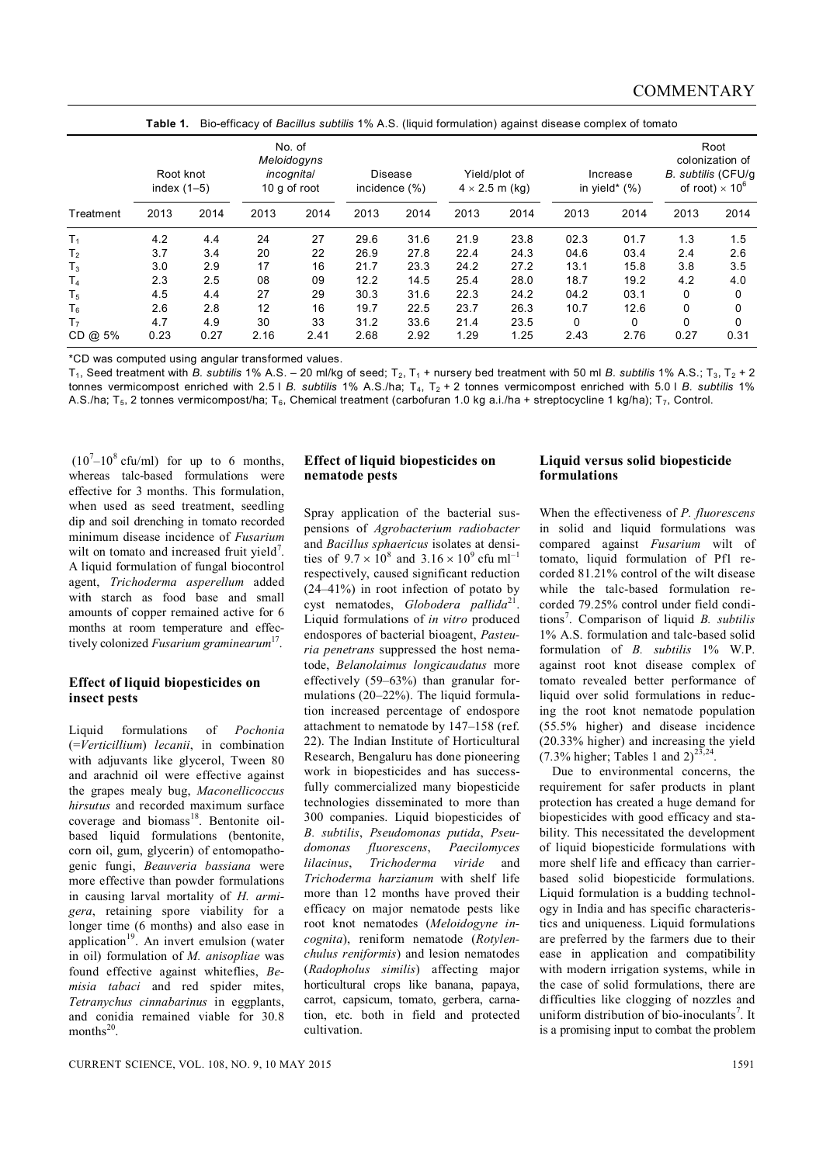| Treatment      | Root knot<br>index $(1-5)$ |      | No. of<br>Meloidogyns<br><i>incognital</i><br>10 g of root |      | <b>Disease</b><br>incidence (%) |      | <b>Table 1.</b> Div-criticacy of <i>Dacilius Subtilis 17</i> 0 A.S. (iiguid formulation) against disease complex of tomato<br>Yield/plot of<br>$4 \times 2.5$ m (kg) |      | Increase<br>in yield* $(\%)$ |      | Root<br>colonization of<br>B. subtilis (CFU/q<br>of root) $\times$ 10 $^{\circ}$ |          |
|----------------|----------------------------|------|------------------------------------------------------------|------|---------------------------------|------|----------------------------------------------------------------------------------------------------------------------------------------------------------------------|------|------------------------------|------|----------------------------------------------------------------------------------|----------|
|                | 2013                       | 2014 | 2013                                                       | 2014 | 2013                            | 2014 | 2013                                                                                                                                                                 | 2014 | 2013                         | 2014 | 2013                                                                             | 2014     |
| T <sub>1</sub> | 4.2                        | 4.4  | 24                                                         | 27   | 29.6                            | 31.6 | 21.9                                                                                                                                                                 | 23.8 | 02.3                         | 01.7 | 1.3                                                                              | 1.5      |
| T <sub>2</sub> | 3.7                        | 3.4  | 20                                                         | 22   | 26.9                            | 27.8 | 22.4                                                                                                                                                                 | 24.3 | 04.6                         | 03.4 | 2.4                                                                              | 2.6      |
| $T_3$          | 3.0                        | 2.9  | 17                                                         | 16   | 21.7                            | 23.3 | 24.2                                                                                                                                                                 | 27.2 | 13.1                         | 15.8 | 3.8                                                                              | 3.5      |
| T <sub>4</sub> | 2.3                        | 2.5  | 08                                                         | 09   | 12.2                            | 14.5 | 25.4                                                                                                                                                                 | 28.0 | 18.7                         | 19.2 | 4.2                                                                              | 4.0      |
| T <sub>5</sub> | 4.5                        | 4.4  | 27                                                         | 29   | 30.3                            | 31.6 | 22.3                                                                                                                                                                 | 24.2 | 04.2                         | 03.1 | 0                                                                                | 0        |
| $T_6$          | 2.6                        | 2.8  | 12                                                         | 16   | 19.7                            | 22.5 | 23.7                                                                                                                                                                 | 26.3 | 10.7                         | 12.6 | 0                                                                                | 0        |
| T <sub>7</sub> | 4.7                        | 4.9  | 30                                                         | 33   | 31.2                            | 33.6 | 21.4                                                                                                                                                                 | 23.5 | 0                            | 0    | 0                                                                                | $\Omega$ |
| $CD @ 5\%$     | 0.23                       | 0.27 | 2.16                                                       | 2.41 | 2.68                            | 2.92 | 1.29                                                                                                                                                                 | 1.25 | 2.43                         | 2.76 | 0.27                                                                             | 0.31     |

**Table 1.** Bio-efficacy of *Bacillus subtilis* 1% A.S. (liquid formulation) against disease complex of tomato

\*CD was computed using angular transformed values.

 $T_1$ , Seed treatment with *B. subtilis* 1% A.S. - 20 ml/kg of seed;  $T_2$ ,  $T_1$  + nursery bed treatment with 50 ml *B. subtilis* 1% A.S.;  $T_3$ ,  $T_2$  + 2 tonnes vermicompost enriched with 2.5 l *B. subtilis* 1% A.S./ha; T<sub>4</sub>, T<sub>2</sub> + 2 tonnes vermicompost enriched with 5.0 l *B. subtilis* 1% A.S./ha; T<sub>5</sub>, 2 tonnes vermicompost/ha; T<sub>6</sub>, Chemical treatment (carbofuran 1.0 kg a.i./ha + streptocycline 1 kg/ha); T<sub>7</sub>, Control.

 $(10<sup>7</sup>-10<sup>8</sup>$  cfu/ml) for up to 6 months, whereas talc-based formulations were effective for 3 months. This formulation, when used as seed treatment, seedling dip and soil drenching in tomato recorded minimum disease incidence of *Fusarium*  wilt on tomato and increased fruit yield<sup>7</sup>. A liquid formulation of fungal biocontrol agent, *Trichoderma asperellum* added with starch as food base and small amounts of copper remained active for 6 months at room temperature and effectively colonized *Fusarium graminearum* 17 .

#### **Effect of liquid biopesticides on insect pests**

Liquid formulations of *Pochonia*  (=*Verticillium*) *lecanii*, in combination with adjuvants like glycerol, Tween 80 and arachnid oil were effective against the grapes mealy bug, *Maconellicoccus hirsutus* and recorded maximum surface coverage and biomass<sup>18</sup>. Bentonite oilbased liquid formulations (bentonite, corn oil, gum, glycerin) of entomopathogenic fungi, *Beauveria bassiana* were more effective than powder formulations in causing larval mortality of *H. armigera*, retaining spore viability for a longer time (6 months) and also ease in application<sup>19</sup>. An invert emulsion (water in oil) formulation of *M. anisopliae* was found effective against whiteflies, *Bemisia tabaci* and red spider mites, *Tetranychus cinnabarinus* in eggplants, and conidia remained viable for 30.8 months $^{20}$ .

## **Effect of liquid biopesticides on nematode pests**

Spray application of the bacterial suspensions of *Agrobacterium radiobacter*  and *Bacillus sphaericus* isolates at densities of  $9.7 \times 10^8$  and  $3.16 \times 10^9$  cfu ml<sup>-1</sup> respectively, caused significant reduction (24–41%) in root infection of potato by cyst nematodes, *Globodera pallida*<sup>21</sup> . Liquid formulations of *in vitro* produced endospores of bacterial bioagent, *Pasteuria penetrans* suppressed the host nematode, *Belanolaimus longicaudatus* more effectively (59–63%) than granular formulations (20–22%). The liquid formulation increased percentage of endospore attachment to nematode by 147–158 (ref. 22). The Indian Institute of Horticultural Research, Bengaluru has done pioneering work in biopesticides and has successfully commercialized many biopesticide technologies disseminated to more than 300 companies. Liquid biopesticides of *B. subtilis*, *Pseudomonas putida*, *Pseudomonas fluorescens*, *Paecilomyces lilacinus*, *Trichoderma viride* and *Trichoderma harzianum* with shelf life more than 12 months have proved their efficacy on major nematode pests like root knot nematodes (*Meloidogyne incognita*), reniform nematode (*Rotylenchulus reniformis*) and lesion nematodes (*Radopholus similis*) affecting major horticultural crops like banana, papaya, carrot, capsicum, tomato, gerbera, carnation, etc. both in field and protected cultivation.

#### **Liquid versus solid biopesticide formulations**

When the effectiveness of *P. fluorescens*  in solid and liquid formulations was compared against *Fusarium* wilt of tomato, liquid formulation of Pf1 recorded 81.21% control of the wilt disease while the talc-based formulation recorded 79.25% control under field conditions<sup>7</sup> . Comparison of liquid *B. subtilis*  1% A.S. formulation and talc-based solid formulation of *B. subtilis* 1% W.P. against root knot disease complex of tomato revealed better performance of liquid over solid formulations in reducing the root knot nematode population (55.5% higher) and disease incidence (20.33% higher) and increasing the yield  $(7.3\% \text{ higher}; \text{Tables } 1 \text{ and } 2)^{23,24}.$ 

Due to environmental concerns, the requirement for safer products in plant protection has created a huge demand for biopesticides with good efficacy and stability. This necessitated the development of liquid biopesticide formulations with more shelf life and efficacy than carrierbased solid biopesticide formulations. Liquid formulation is a budding technology in India and has specific characteristics and uniqueness. Liquid formulations are preferred by the farmers due to their ease in application and compatibility with modern irrigation systems, while in the case of solid formulations, there are difficulties like clogging of nozzles and uniform distribution of bio-inoculants<sup>7</sup>. It is a promising input to combat the problem